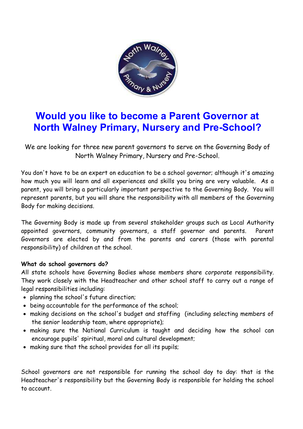

## **Would you like to become a Parent Governor at North Walney Primary, Nursery and Pre-School?**

We are looking for three new parent governors to serve on the Governing Body of North Walney Primary, Nursery and Pre-School.

You don't have to be an expert on education to be a school governor; although it's amazing how much you will learn and all experiences and skills you bring are very valuable. As a parent, you will bring a particularly important perspective to the Governing Body. You will represent parents, but you will share the responsibility with all members of the Governing Body for making decisions.

The Governing Body is made up from several stakeholder groups such as Local Authority appointed governors, community governors, a staff governor and parents. Parent Governors are elected by and from the parents and carers (those with parental responsibility) of children at the school.

## **What do school governors do?**

All state schools have Governing Bodies whose members share *corporate* responsibility. They work closely with the Headteacher and other school staff to carry out a range of legal responsibilities including:

- planning the school's future direction;
- being accountable for the performance of the school;
- making decisions on the school's budget and staffing (including selecting members of the senior leadership team, where appropriate);
- making sure the National Curriculum is taught and deciding how the school can encourage pupils' spiritual, moral and cultural development;
- making sure that the school provides for all its pupils;

School governors are not responsible for running the school day to day: that is the Headteacher's responsibility but the Governing Body is responsible for holding the school to account.